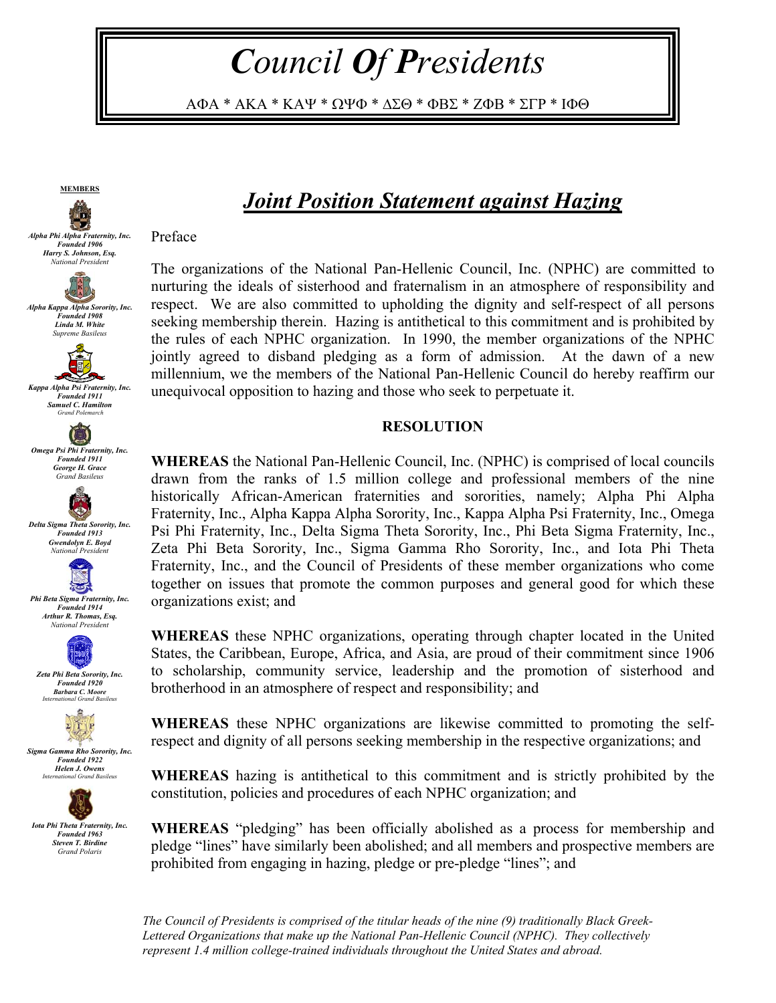*Council Of Presidents* 

ΑΦΑ \* ΑΚΑ \* ΚΑΨ \* ΩΨΦ \* ∆ΣΘ \* ΦΒΣ \* ΖΦΒ \* ΣΓΡ \* ΙΦΘ



*Alpha Kappa Alpha Sorority, Inc. Founded 1908 Linda M. White Supreme Basileus* 



*Kappa Alpha Psi Fraternity, Inc. Founded 1911 Samuel C. Hamilton Grand Polemarch* 



 $\bullet$ 



海人 *Phi Beta Sigma Fraternity, Inc.* 

*Founded 1914 Arthur R. Thomas, Esq. National President* 



*Founded 1920 Barbara C. Moore International Grand Basileus* 



*Sigma Gamma Rho Sorority, Inc. Founded 1922 Helen J. Owens International Grand Basileus* 



## *Joint Position Statement against Hazing*

Preface

The organizations of the National Pan-Hellenic Council, Inc. (NPHC) are committed to nurturing the ideals of sisterhood and fraternalism in an atmosphere of responsibility and respect. We are also committed to upholding the dignity and self-respect of all persons seeking membership therein. Hazing is antithetical to this commitment and is prohibited by the rules of each NPHC organization. In 1990, the member organizations of the NPHC jointly agreed to disband pledging as a form of admission. At the dawn of a new millennium, we the members of the National Pan-Hellenic Council do hereby reaffirm our unequivocal opposition to hazing and those who seek to perpetuate it.

## **RESOLUTION**

**WHEREAS** the National Pan-Hellenic Council, Inc. (NPHC) is comprised of local councils drawn from the ranks of 1.5 million college and professional members of the nine historically African-American fraternities and sororities, namely; Alpha Phi Alpha Fraternity, Inc., Alpha Kappa Alpha Sorority, Inc., Kappa Alpha Psi Fraternity, Inc., Omega Psi Phi Fraternity, Inc., Delta Sigma Theta Sorority, Inc., Phi Beta Sigma Fraternity, Inc., Zeta Phi Beta Sorority, Inc., Sigma Gamma Rho Sorority, Inc., and Iota Phi Theta Fraternity, Inc., and the Council of Presidents of these member organizations who come together on issues that promote the common purposes and general good for which these organizations exist; and

**WHEREAS** these NPHC organizations, operating through chapter located in the United States, the Caribbean, Europe, Africa, and Asia, are proud of their commitment since 1906 to scholarship, community service, leadership and the promotion of sisterhood and brotherhood in an atmosphere of respect and responsibility; and

**WHEREAS** these NPHC organizations are likewise committed to promoting the selfrespect and dignity of all persons seeking membership in the respective organizations; and

**WHEREAS** hazing is antithetical to this commitment and is strictly prohibited by the constitution, policies and procedures of each NPHC organization; and

**WHEREAS** "pledging" has been officially abolished as a process for membership and pledge "lines" have similarly been abolished; and all members and prospective members are prohibited from engaging in hazing, pledge or pre-pledge "lines"; and

*The Council of Presidents is comprised of the titular heads of the nine (9) traditionally Black Greek-Lettered Organizations that make up the National Pan-Hellenic Council (NPHC). They collectively represent 1.4 million college-trained individuals throughout the United States and abroad.*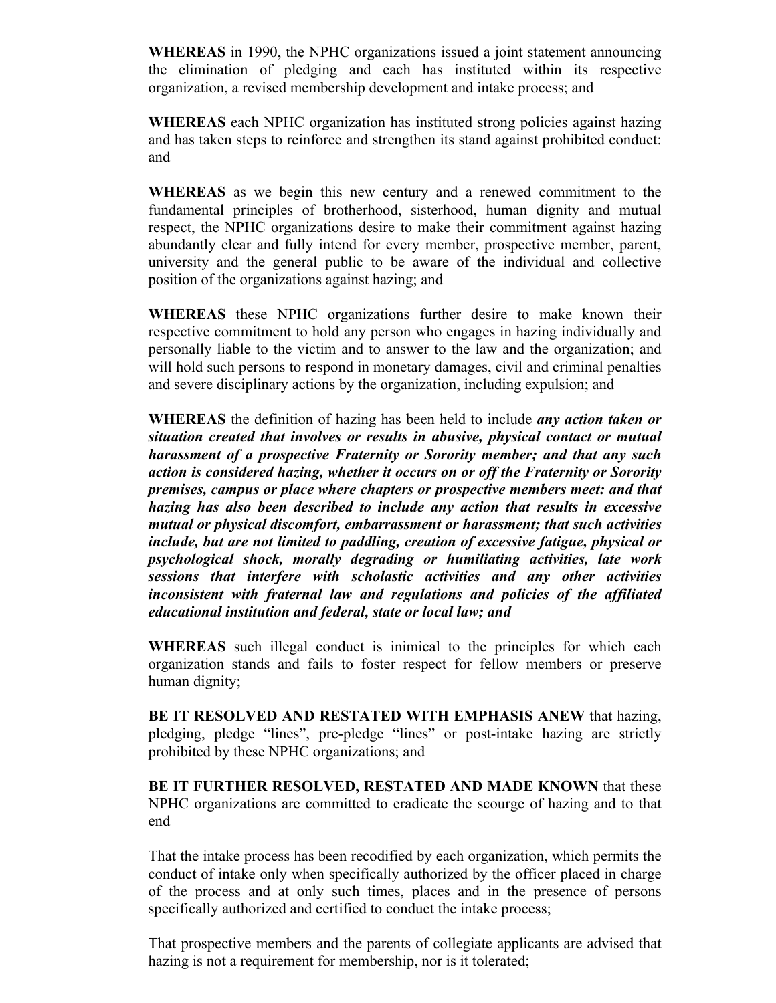**WHEREAS** in 1990, the NPHC organizations issued a joint statement announcing the elimination of pledging and each has instituted within its respective organization, a revised membership development and intake process; and

**WHEREAS** each NPHC organization has instituted strong policies against hazing and has taken steps to reinforce and strengthen its stand against prohibited conduct: and

**WHEREAS** as we begin this new century and a renewed commitment to the fundamental principles of brotherhood, sisterhood, human dignity and mutual respect, the NPHC organizations desire to make their commitment against hazing abundantly clear and fully intend for every member, prospective member, parent, university and the general public to be aware of the individual and collective position of the organizations against hazing; and

**WHEREAS** these NPHC organizations further desire to make known their respective commitment to hold any person who engages in hazing individually and personally liable to the victim and to answer to the law and the organization; and will hold such persons to respond in monetary damages, civil and criminal penalties and severe disciplinary actions by the organization, including expulsion; and

**WHEREAS** the definition of hazing has been held to include *any action taken or situation created that involves or results in abusive, physical contact or mutual harassment of a prospective Fraternity or Sorority member; and that any such action is considered hazing, whether it occurs on or off the Fraternity or Sorority premises, campus or place where chapters or prospective members meet: and that hazing has also been described to include any action that results in excessive mutual or physical discomfort, embarrassment or harassment; that such activities include, but are not limited to paddling, creation of excessive fatigue, physical or psychological shock, morally degrading or humiliating activities, late work sessions that interfere with scholastic activities and any other activities inconsistent with fraternal law and regulations and policies of the affiliated educational institution and federal, state or local law; and* 

**WHEREAS** such illegal conduct is inimical to the principles for which each organization stands and fails to foster respect for fellow members or preserve human dignity;

**BE IT RESOLVED AND RESTATED WITH EMPHASIS ANEW** that hazing, pledging, pledge "lines", pre-pledge "lines" or post-intake hazing are strictly prohibited by these NPHC organizations; and

**BE IT FURTHER RESOLVED, RESTATED AND MADE KNOWN** that these NPHC organizations are committed to eradicate the scourge of hazing and to that end

That the intake process has been recodified by each organization, which permits the conduct of intake only when specifically authorized by the officer placed in charge of the process and at only such times, places and in the presence of persons specifically authorized and certified to conduct the intake process;

That prospective members and the parents of collegiate applicants are advised that hazing is not a requirement for membership, nor is it tolerated;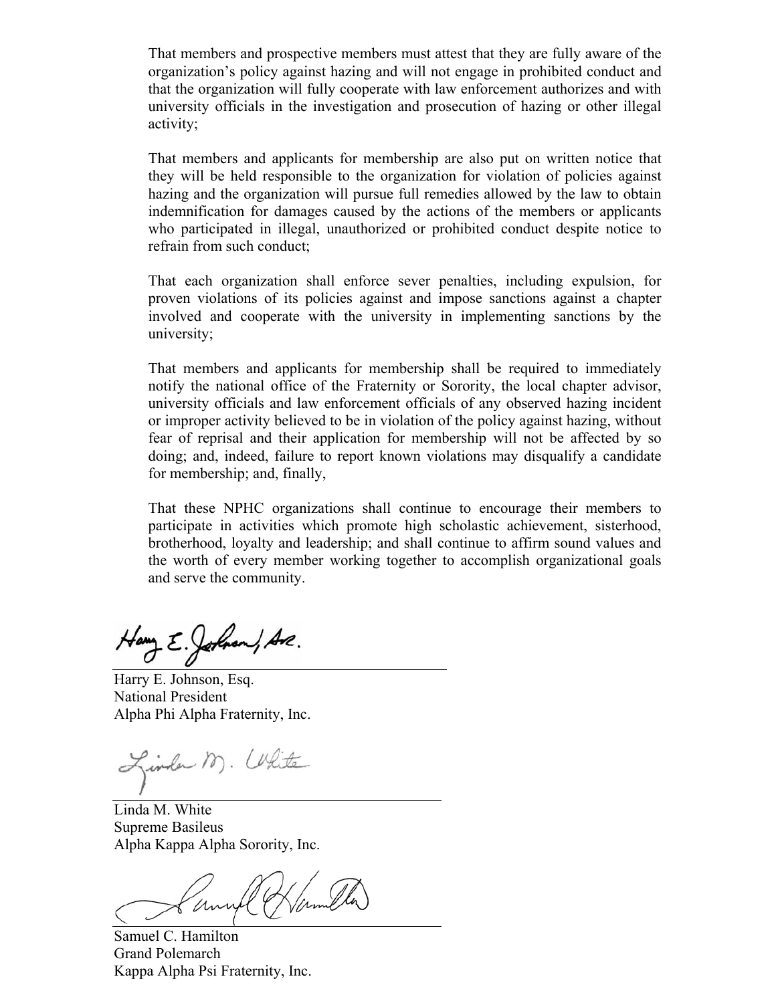That members and prospective members must attest that they are fully aware of the organization's policy against hazing and will not engage in prohibited conduct and that the organization will fully cooperate with law enforcement authorizes and with university officials in the investigation and prosecution of hazing or other illegal activity;

That members and applicants for membership are also put on written notice that they will be held responsible to the organization for violation of policies against hazing and the organization will pursue full remedies allowed by the law to obtain indemnification for damages caused by the actions of the members or applicants who participated in illegal, unauthorized or prohibited conduct despite notice to refrain from such conduct;

That each organization shall enforce sever penalties, including expulsion, for proven violations of its policies against and impose sanctions against a chapter involved and cooperate with the university in implementing sanctions by the university;

That members and applicants for membership shall be required to immediately notify the national office of the Fraternity or Sorority, the local chapter advisor, university officials and law enforcement officials of any observed hazing incident or improper activity believed to be in violation of the policy against hazing, without fear of reprisal and their application for membership will not be affected by so doing; and, indeed, failure to report known violations may disqualify a candidate for membership; and, finally,

That these NPHC organizations shall continue to encourage their members to participate in activities which promote high scholastic achievement, sisterhood, brotherhood, loyalty and leadership; and shall continue to affirm sound values and the worth of every member working together to accomplish organizational goals and serve the community.

Hamy E. Johnson, Are.

Harry E. Johnson, Esq. National President Alpha Phi Alpha Fraternity, Inc.

Linda M. Uhite

Linda M. White Supreme Basileus Alpha Kappa Alpha Sorority, Inc.

Samuel C. Hamilton Grand Polemarch Kappa Alpha Psi Fraternity, Inc.